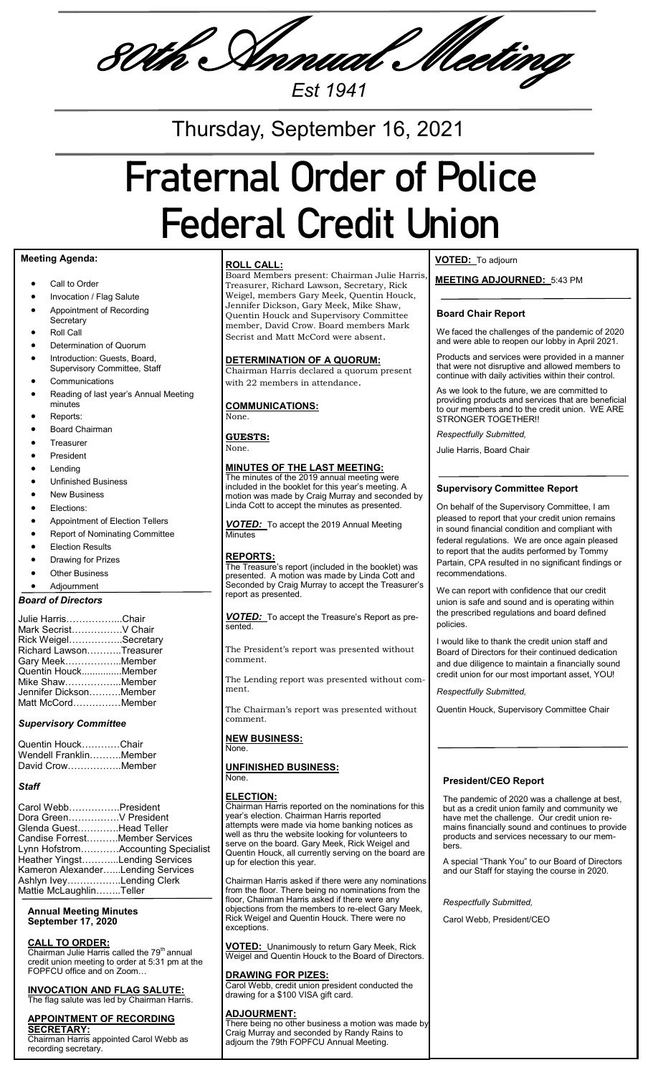80th Annual Meeting

*Est 1941*

Thursday, September 16, 2021

# **Fraternal Order of Police Federal Credit Union**

## **Meeting Agenda:**

- Call to Order
- Invocation / Flag Salute
- Appointment of Recording
- **Secretary** Roll Call
- 
- Determination of Quorum
- Introduction: Guests, Board, Supervisory Committee, Staff
- **Communications**
- Reading of last year's Annual Meeting minutes
- Reports:
- Board Chairman
- Treasurer President
- Lending
- 
- Unfinished Business New Business
- 
- Elections:
- Appointment of Election Tellers
- Report of Nominating Committee
- Election Results
- Drawing for Prizes
- Other Business

# Adjournment

| Julie HarrisChair       |  |
|-------------------------|--|
| Mark SecristV Chair     |  |
| Rick WeigelSecretary    |  |
| Richard LawsonTreasurer |  |
| Gary MeekMember         |  |
| Quentin HouckMember     |  |
| Mike ShawMember         |  |
| Jennifer DicksonMember  |  |
| Matt McCordMember       |  |

#### *Supervisory Committee*

| Quentin HouckChair     |  |
|------------------------|--|
| Wendell FranklinMember |  |
| David CrowMember       |  |

#### *Staff*

| Carol WebbPresident<br>Dora GreenV President                        |  |
|---------------------------------------------------------------------|--|
| Glenda GuestHead Teller<br>Candise ForrestMember Services           |  |
| Lynn HofstromAccounting Specialist                                  |  |
| Heather YingstLending Services<br>Kameron AlexanderLending Services |  |
| Ashlyn IveyLending Clerk<br>Mattie McLaughlinTeller                 |  |

#### **Annual Meeting Minutes September 17, 2020**

### **CALL TO ORDER:**

Chairman Julie Harris called the 79<sup>th</sup> annual credit union meeting to order at 5:31 pm at the FOPFCU office and on Zoom…

#### **INVOCATION AND FLAG SALUTE:** The flag salute was led by Chairman Harris.

#### **APPOINTMENT OF RECORDING SECRETARY:**

Chairman Harris appointed Carol Webb as recording secretary.

#### **ROLL CALL:**

Board Members present: Chairman Julie Harris, Treasurer, Richard Lawson, Secretary, Rick Weigel, members Gary Meek, Quentin Houck, Jennifer Dickson, Gary Meek, Mike Shaw, Quentin Houck and Supervisory Committee member, David Crow. Board members Mark Secrist and Matt McCord were absent.

#### **DETERMINATION OF A QUORUM:**

Chairman Harris declared a quorum present with 22 members in attendance.

#### **COMMUNICATIONS:**

**GUESTS:**

None.

None.

#### **MINUTES OF THE LAST MEETING:**

The minutes of the 2019 annual meeting were included in the booklet for this year's meeting. A motion was made by Craig Murray and seconded by Linda Cott to accept the minutes as presented.

*VOTED:*To accept the 2019 Annual Meeting Minutes

#### **REPORTS:**

The Treasure's report (included in the booklet) was presented.  $\,$  A mot $\,$ ion was made by Linda Cott $\,$  and Seconded by Craig Murray to accept the Treasurer's report as presented.

*VOTED:*To accept the Treasure's Report as presented.

The President's report was presented without comment.

The Lending report was presented without comment.

The Chairman's report was presented without

**NEW BUSINESS:** None.

comment.

#### **UNFINISHED BUSINESS:** None.

#### **ELECTION:**

Chairman Harris reported on the nominations for this year's election. Chairman Harris reported attempts were made via home banking notices as well as thru the website looking for volunteers to serve on the board. Gary Meek, Rick Weigel and Quentin Houck, all currently serving on the board are up for election this year.

Chairman Harris asked if there were any nominations from the floor. There being no nominations from the floor, Chairman Harris asked if there were any objections from the members to re-elect Gary Meek, Rick Weigel and Quentin Houck. There were no exceptions.

**VOTED:** Unanimously to return Gary Meek, Rick Weigel and Quentin Houck to the Board of Directors.

#### **DRAWING FOR PIZES:**

Carol Webb, credit union president conducted the drawing for a \$100 VISA gift card.

#### **ADJOURMENT:**

There being no other business a motion was made by Craig Murray and seconded by Randy Rains to adjourn the 79th FOPFCU Annual Meeting.

## **VOTED:** To adjourn

**MEETING ADJOURNED:** 5:43 PM

#### **Board Chair Report**

We faced the challenges of the pandemic of 2020 and were able to reopen our lobby in April 2021.

Products and services were provided in a manner that were not disruptive and allowed members to continue with daily activities within their control.

As we look to the future, we are committed to providing products and services that are beneficial to our members and to the credit union. WE ARE STRONGER TOGETHER!!

*Respectfully Submitted,*

Julie Harris, Board Chair

#### **Supervisory Committee Report**

On behalf of the Supervisory Committee, I am pleased to report that your credit union remains in sound financial condition and compliant with federal regulations. We are once again pleased to report that the audits performed by Tommy Partain, CPA resulted in no significant findings or recommendations.

We can report with confidence that our credit union is safe and sound and is operating within the prescribed regulations and board defined policies.

I would like to thank the credit union staff and Board of Directors for their continued dedication and due diligence to maintain a financially sound credit union for our most important asset, YOU!

#### *Respectfully Submitted,*

Quentin Houck, Supervisory Committee Chair

#### **President/CEO Report**

The pandemic of 2020 was a challenge at best, but as a credit union family and community we have met the challenge. Our credit union remains financially sound and continues to provide products and services necessary to our members.

A special "Thank You" to our Board of Directors and our Staff for staying the course in 2020.

*Respectfully Submitted,*

Carol Webb, President/CEO